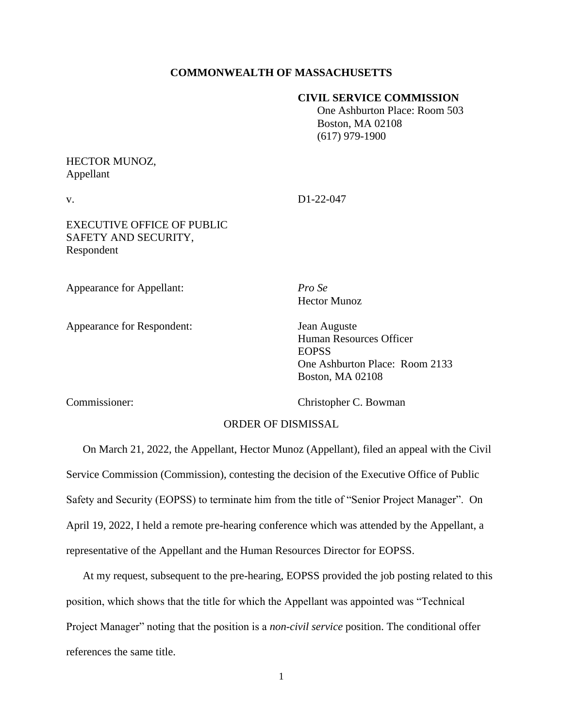### **COMMONWEALTH OF MASSACHUSETTS**

#### **CIVIL SERVICE COMMISSION**

 One Ashburton Place: Room 503 Boston, MA 02108 (617) 979-1900

# HECTOR MUNOZ, Appellant

v. D1-22-047

## EXECUTIVE OFFICE OF PUBLIC SAFETY AND SECURITY, Respondent

Appearance for Appellant: *Pro Se*

Appearance for Respondent: Jean Auguste

Hector Munoz

Human Resources Officer EOPSS One Ashburton Place: Room 2133 Boston, MA 02108

Commissioner: Christopher C. Bowman

# ORDER OF DISMISSAL

On March 21, 2022, the Appellant, Hector Munoz (Appellant), filed an appeal with the Civil Service Commission (Commission), contesting the decision of the Executive Office of Public Safety and Security (EOPSS) to terminate him from the title of "Senior Project Manager". On April 19, 2022, I held a remote pre-hearing conference which was attended by the Appellant, a representative of the Appellant and the Human Resources Director for EOPSS.

At my request, subsequent to the pre-hearing, EOPSS provided the job posting related to this position, which shows that the title for which the Appellant was appointed was "Technical Project Manager" noting that the position is a *non-civil service* position. The conditional offer references the same title.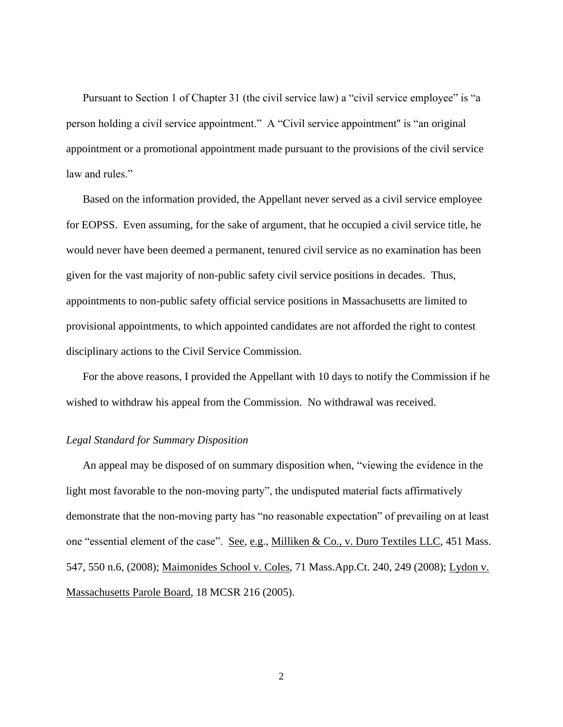Pursuant to Section 1 of Chapter 31 (the civil service law) a "civil service employee" is "a person holding a civil service appointment." A "Civil service appointment'' is "an original appointment or a promotional appointment made pursuant to the provisions of the civil service law and rules."

Based on the information provided, the Appellant never served as a civil service employee for EOPSS. Even assuming, for the sake of argument, that he occupied a civil service title, he would never have been deemed a permanent, tenured civil service as no examination has been given for the vast majority of non-public safety civil service positions in decades. Thus, appointments to non-public safety official service positions in Massachusetts are limited to provisional appointments, to which appointed candidates are not afforded the right to contest disciplinary actions to the Civil Service Commission.

For the above reasons, I provided the Appellant with 10 days to notify the Commission if he wished to withdraw his appeal from the Commission. No withdrawal was received.

#### *Legal Standard for Summary Disposition*

An appeal may be disposed of on summary disposition when, "viewing the evidence in the light most favorable to the non-moving party", the undisputed material facts affirmatively demonstrate that the non-moving party has "no reasonable expectation" of prevailing on at least one "essential element of the case". See, e.g., Milliken & Co., v. Duro Textiles LLC, 451 Mass. 547, 550 n.6, (2008); Maimonides School v. Coles, 71 Mass.App.Ct. 240, 249 (2008); Lydon v. Massachusetts Parole Board, 18 MCSR 216 (2005).